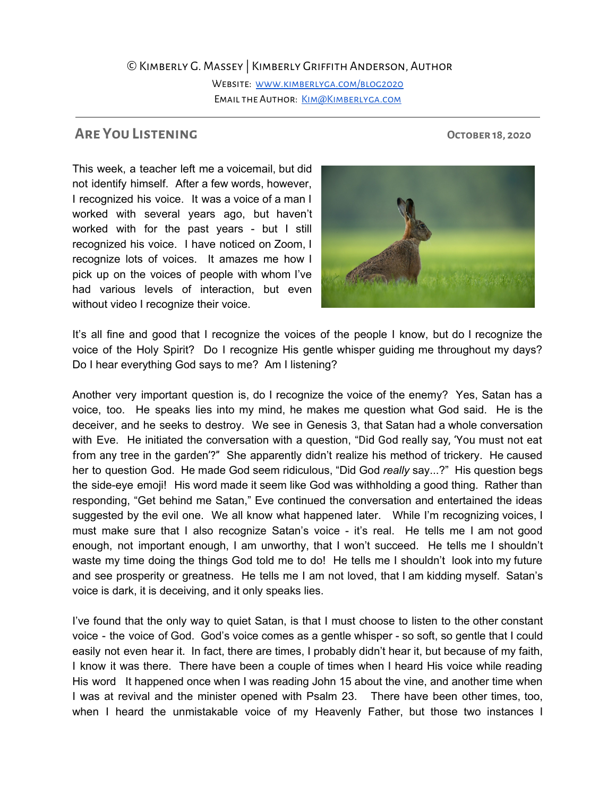## ©Kimberly G. Massey | Kimberly Griffith Anderson, Author

WEBSITE: WWW.KIMBERLYGA.COM/BLOG2020 EMAIL THE AUTHOR: KIM@KIMBERLYGA.COM

**Are You Listening October 18, 2020**

This week, a teacher left me a voicemail, but did not identify himself. After a few words, however, I recognized his voice. It was a voice of a man I worked with several years ago, but haven't worked with for the past years - but I still recognized his voice. I have noticed on Zoom, I recognize lots of voices. It amazes me how I pick up on the voices of people with whom I've had various levels of interaction, but even without video I recognize their voice.



It's all fine and good that I recognize the voices of the people I know, but do I recognize the voice of the Holy Spirit? Do I recognize His gentle whisper guiding me throughout my days? Do I hear everything God says to me? Am I listening?

Another very important question is, do I recognize the voice of the enemy? Yes, Satan has a voice, too. He speaks lies into my mind, he makes me question what God said. He is the deceiver, and he seeks to destroy. We see in Genesis 3, that Satan had a whole conversation with Eve. He initiated the conversation with a question, "Did God really say, 'You must not eat from any tree in the garden'?" She apparently didn't realize his method of trickery. He caused her to question God. He made God seem ridiculous, "Did God *really* say...?" His question begs the side-eye emoji! His word made it seem like God was withholding a good thing. Rather than responding, "Get behind me Satan," Eve continued the conversation and entertained the ideas suggested by the evil one. We all know what happened later. While I'm recognizing voices, I must make sure that I also recognize Satan's voice - it's real. He tells me I am not good enough, not important enough, I am unworthy, that I won't succeed. He tells me I shouldn't waste my time doing the things God told me to do! He tells me I shouldn't look into my future and see prosperity or greatness. He tells me I am not loved, that I am kidding myself. Satan's voice is dark, it is deceiving, and it only speaks lies.

I've found that the only way to quiet Satan, is that I must choose to listen to the other constant voice - the voice of God. God's voice comes as a gentle whisper - so soft, so gentle that I could easily not even hear it. In fact, there are times, I probably didn't hear it, but because of my faith, I know it was there. There have been a couple of times when I heard His voice while reading His word It happened once when I was reading John 15 about the vine, and another time when I was at revival and the minister opened with Psalm 23. There have been other times, too, when I heard the unmistakable voice of my Heavenly Father, but those two instances I